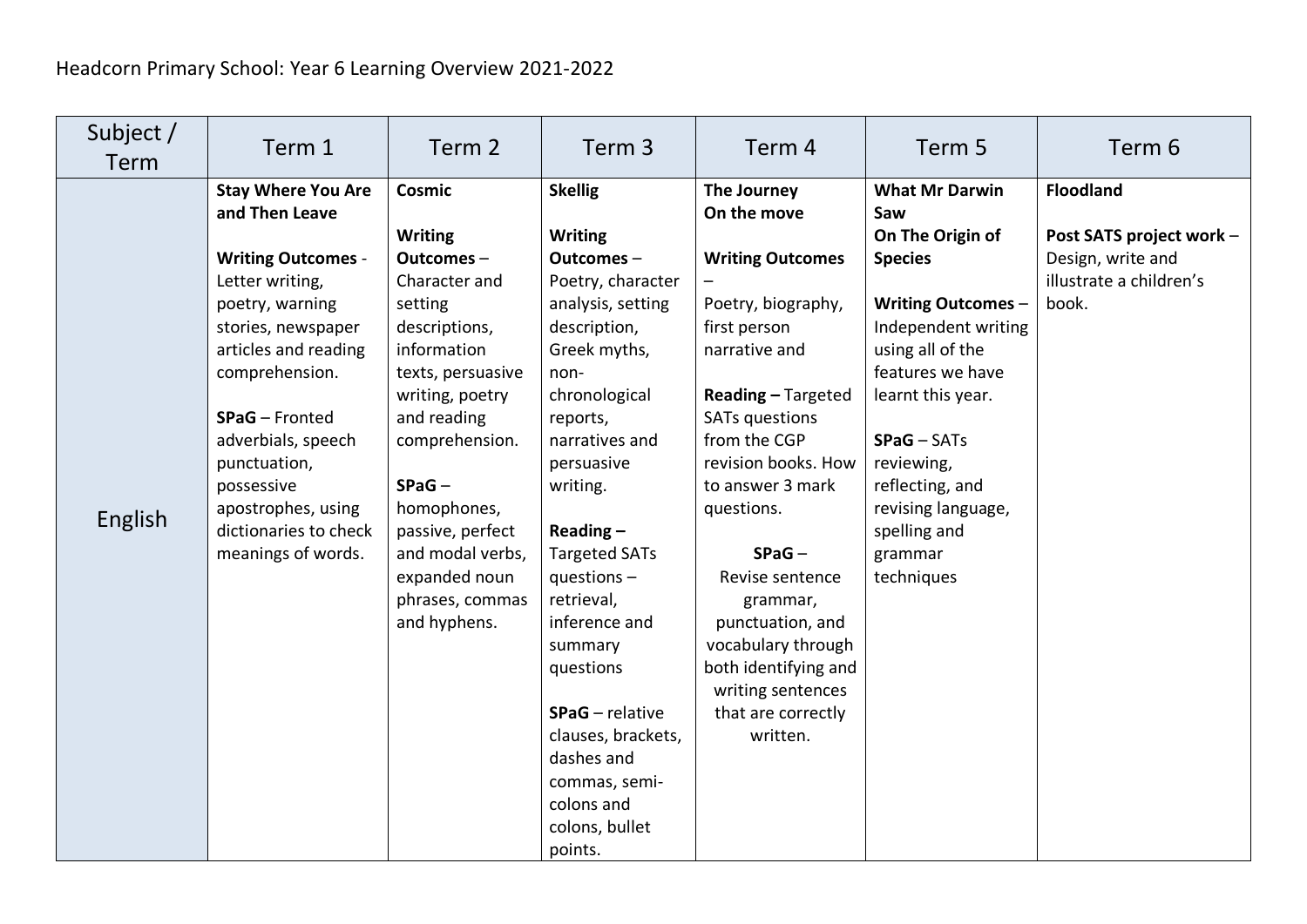| Subject /<br>Term | Term 1                                                                                                                                                                                                                                                                                                                    | Term 2                                                                                                                                                                                                                                                                                            | Term 3                                                                                                                                                                                                                                                                                                                                                                                                                                            | Term 4                                                                                                                                                                                                                                                                                                                                                                                                   | Term 5                                                                                                                                                                                                                                                                                               | Term 6                                                                                                |
|-------------------|---------------------------------------------------------------------------------------------------------------------------------------------------------------------------------------------------------------------------------------------------------------------------------------------------------------------------|---------------------------------------------------------------------------------------------------------------------------------------------------------------------------------------------------------------------------------------------------------------------------------------------------|---------------------------------------------------------------------------------------------------------------------------------------------------------------------------------------------------------------------------------------------------------------------------------------------------------------------------------------------------------------------------------------------------------------------------------------------------|----------------------------------------------------------------------------------------------------------------------------------------------------------------------------------------------------------------------------------------------------------------------------------------------------------------------------------------------------------------------------------------------------------|------------------------------------------------------------------------------------------------------------------------------------------------------------------------------------------------------------------------------------------------------------------------------------------------------|-------------------------------------------------------------------------------------------------------|
| English           | <b>Stay Where You Are</b><br>and Then Leave<br><b>Writing Outcomes -</b><br>Letter writing,<br>poetry, warning<br>stories, newspaper<br>articles and reading<br>comprehension.<br>SPaG - Fronted<br>adverbials, speech<br>punctuation,<br>possessive<br>apostrophes, using<br>dictionaries to check<br>meanings of words. | Cosmic<br><b>Writing</b><br>Outcomes-<br>Character and<br>setting<br>descriptions,<br>information<br>texts, persuasive<br>writing, poetry<br>and reading<br>comprehension.<br>$SPaG -$<br>homophones,<br>passive, perfect<br>and modal verbs,<br>expanded noun<br>phrases, commas<br>and hyphens. | <b>Skellig</b><br><b>Writing</b><br>Outcomes-<br>Poetry, character<br>analysis, setting<br>description,<br>Greek myths,<br>non-<br>chronological<br>reports,<br>narratives and<br>persuasive<br>writing.<br>Reading $-$<br><b>Targeted SATs</b><br>questions $-$<br>retrieval,<br>inference and<br>summary<br>questions<br><b>SPaG</b> - relative<br>clauses, brackets,<br>dashes and<br>commas, semi-<br>colons and<br>colons, bullet<br>points. | The Journey<br>On the move<br><b>Writing Outcomes</b><br>Poetry, biography,<br>first person<br>narrative and<br>Reading - Targeted<br><b>SATs questions</b><br>from the CGP<br>revision books. How<br>to answer 3 mark<br>questions.<br>$SPaG -$<br>Revise sentence<br>grammar,<br>punctuation, and<br>vocabulary through<br>both identifying and<br>writing sentences<br>that are correctly<br>written. | <b>What Mr Darwin</b><br>Saw<br>On The Origin of<br><b>Species</b><br><b>Writing Outcomes -</b><br>Independent writing<br>using all of the<br>features we have<br>learnt this year.<br>$SPaG - SATs$<br>reviewing,<br>reflecting, and<br>revising language,<br>spelling and<br>grammar<br>techniques | <b>Floodland</b><br>Post SATS project work -<br>Design, write and<br>illustrate a children's<br>book. |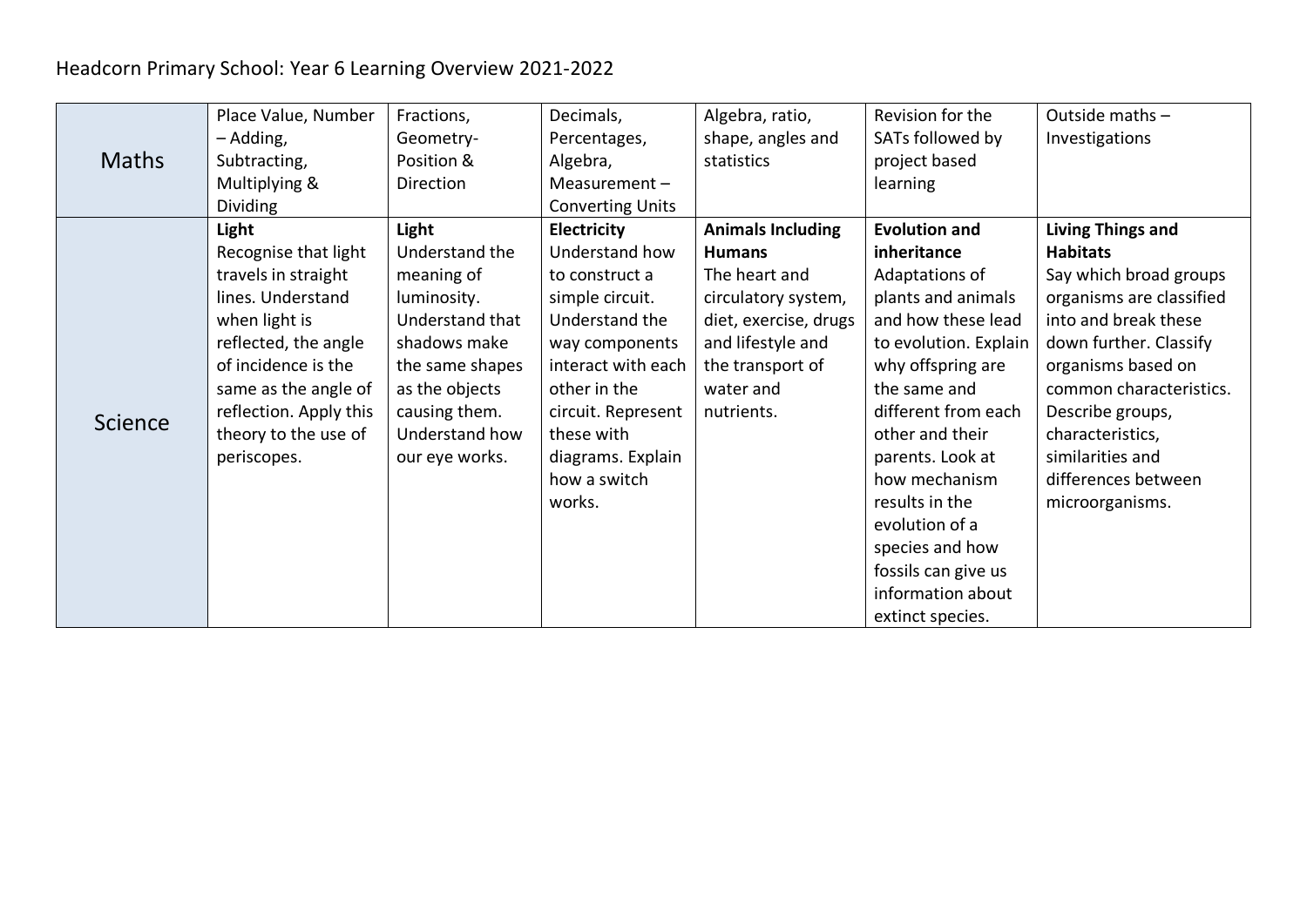## Headcorn Primary School: Year 6 Learning Overview 2021-2022

|                | Place Value, Number    | Fractions,      | Decimals,               | Algebra, ratio,          | Revision for the      | Outside maths -          |
|----------------|------------------------|-----------------|-------------------------|--------------------------|-----------------------|--------------------------|
|                | - Adding,              | Geometry-       | Percentages,            | shape, angles and        | SATs followed by      | Investigations           |
| <b>Maths</b>   | Subtracting,           | Position &      | Algebra,                | statistics               | project based         |                          |
|                | Multiplying &          | Direction       | Measurement-            |                          | learning              |                          |
|                | <b>Dividing</b>        |                 | <b>Converting Units</b> |                          |                       |                          |
|                | Light                  | Light           | <b>Electricity</b>      | <b>Animals Including</b> | <b>Evolution and</b>  | <b>Living Things and</b> |
|                | Recognise that light   | Understand the  | Understand how          | <b>Humans</b>            | inheritance           | <b>Habitats</b>          |
|                | travels in straight    | meaning of      | to construct a          | The heart and            | Adaptations of        | Say which broad groups   |
|                | lines. Understand      | luminosity.     | simple circuit.         | circulatory system,      | plants and animals    | organisms are classified |
|                | when light is          | Understand that | Understand the          | diet, exercise, drugs    | and how these lead    | into and break these     |
|                | reflected, the angle   | shadows make    | way components          | and lifestyle and        | to evolution. Explain | down further. Classify   |
|                | of incidence is the    | the same shapes | interact with each      | the transport of         | why offspring are     | organisms based on       |
|                | same as the angle of   | as the objects  | other in the            | water and                | the same and          | common characteristics.  |
| <b>Science</b> | reflection. Apply this | causing them.   | circuit. Represent      | nutrients.               | different from each   | Describe groups,         |
|                | theory to the use of   | Understand how  | these with              |                          | other and their       | characteristics,         |
|                | periscopes.            | our eye works.  | diagrams. Explain       |                          | parents. Look at      | similarities and         |
|                |                        |                 | how a switch            |                          | how mechanism         | differences between      |
|                |                        |                 | works.                  |                          | results in the        | microorganisms.          |
|                |                        |                 |                         |                          | evolution of a        |                          |
|                |                        |                 |                         |                          | species and how       |                          |
|                |                        |                 |                         |                          | fossils can give us   |                          |
|                |                        |                 |                         |                          | information about     |                          |
|                |                        |                 |                         |                          | extinct species.      |                          |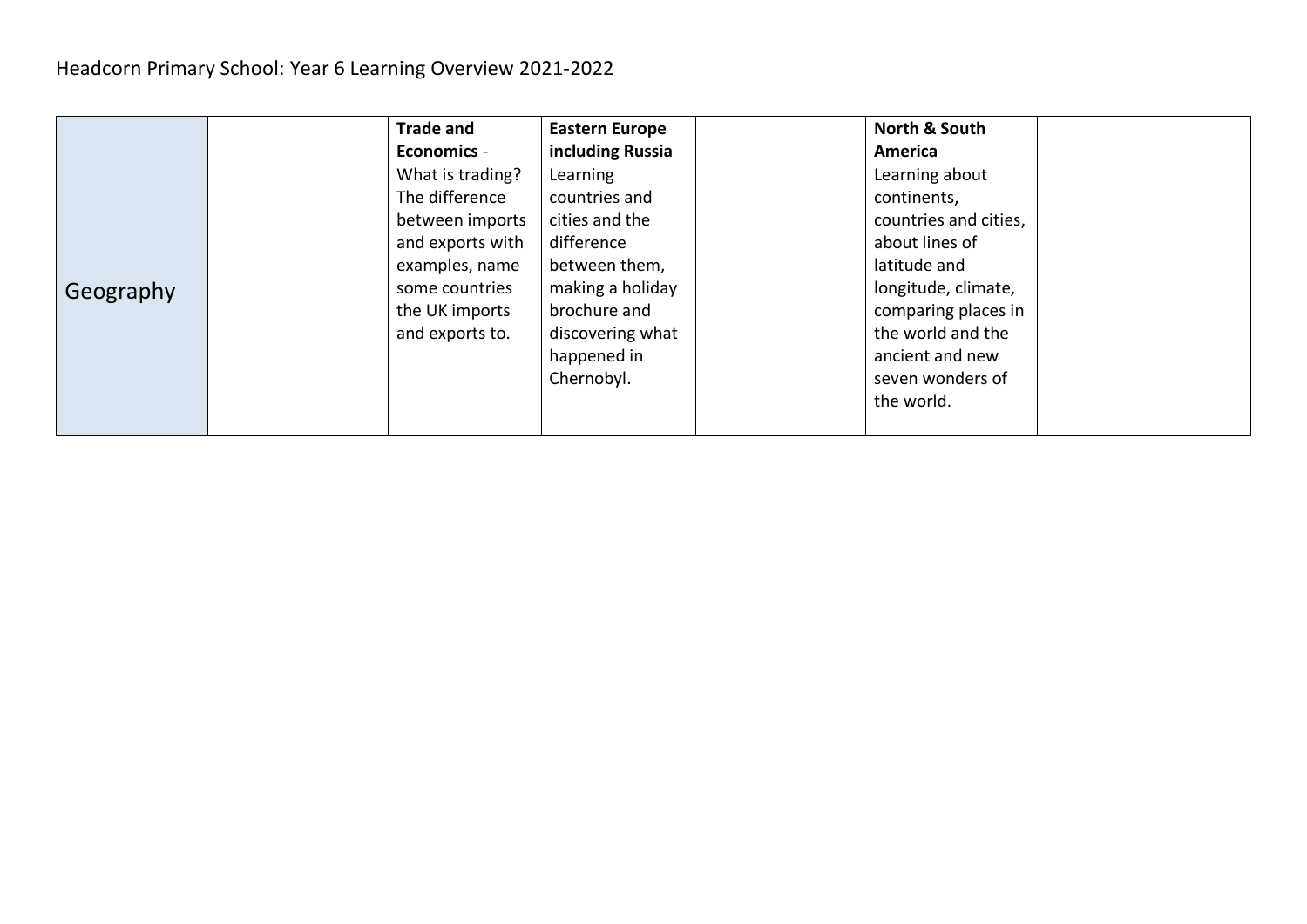|           | <b>Trade and</b>   | <b>Eastern Europe</b> | North & South         |  |
|-----------|--------------------|-----------------------|-----------------------|--|
|           | <b>Economics -</b> | including Russia      | America               |  |
|           | What is trading?   | Learning              | Learning about        |  |
|           | The difference     | countries and         | continents,           |  |
|           | between imports    | cities and the        | countries and cities, |  |
| Geography | and exports with   | difference            | about lines of        |  |
|           | examples, name     | between them,         | latitude and          |  |
|           | some countries     | making a holiday      | longitude, climate,   |  |
|           | the UK imports     | brochure and          | comparing places in   |  |
|           | and exports to.    | discovering what      | the world and the     |  |
|           |                    | happened in           | ancient and new       |  |
|           |                    | Chernobyl.            | seven wonders of      |  |
|           |                    |                       | the world.            |  |
|           |                    |                       |                       |  |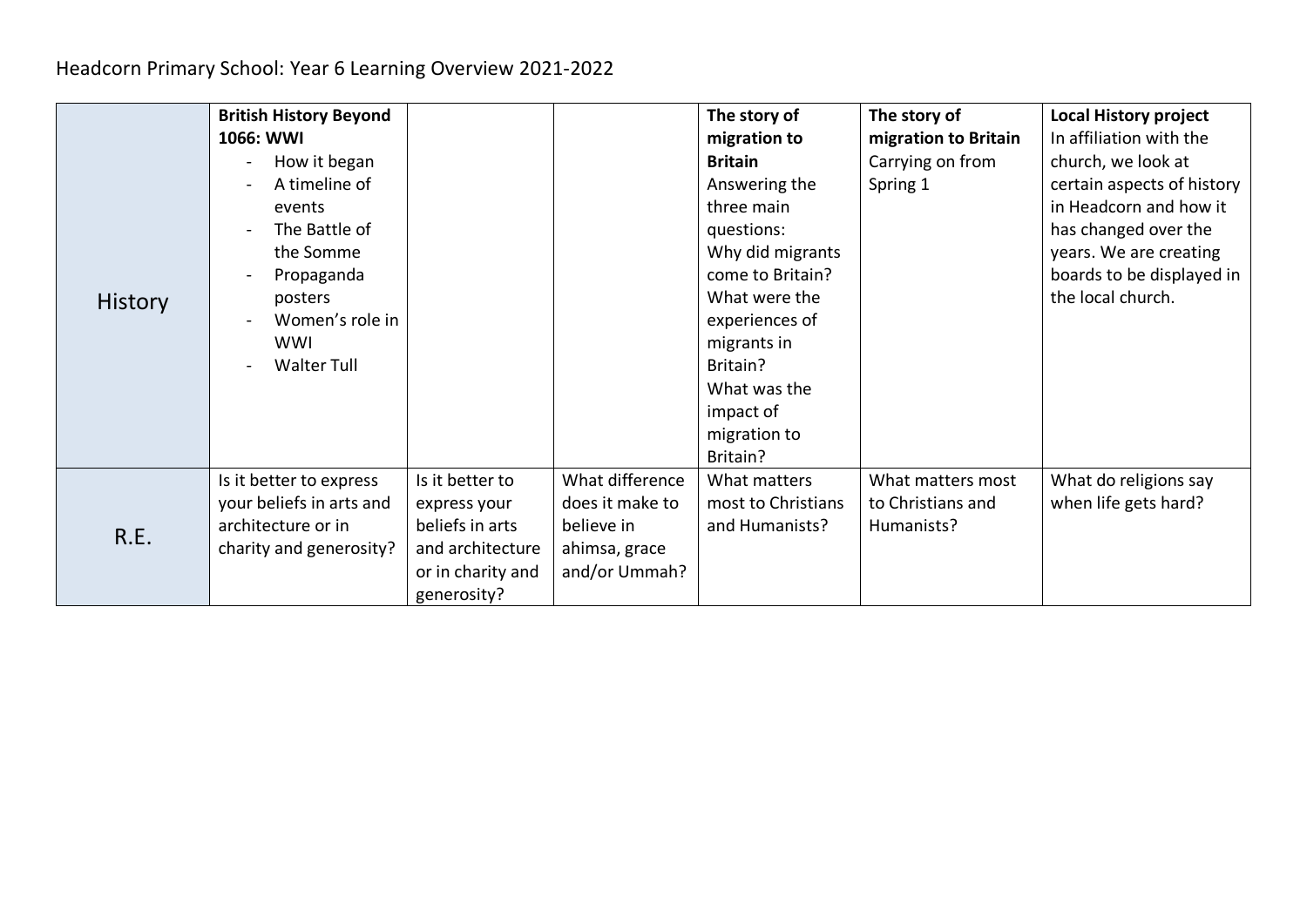|                | <b>British History Beyond</b><br>1066: WWI<br>How it began<br>A timeline of<br>events<br>The Battle of<br>the Somme<br>Propaganda<br>posters |                                                                                                            |                                                                                    | The story of<br>migration to<br><b>Britain</b><br>Answering the<br>three main<br>questions:<br>Why did migrants<br>come to Britain?<br>What were the | The story of<br>migration to Britain<br>Carrying on from<br>Spring 1 | <b>Local History project</b><br>In affiliation with the<br>church, we look at<br>certain aspects of history<br>in Headcorn and how it<br>has changed over the<br>years. We are creating<br>boards to be displayed in<br>the local church. |
|----------------|----------------------------------------------------------------------------------------------------------------------------------------------|------------------------------------------------------------------------------------------------------------|------------------------------------------------------------------------------------|------------------------------------------------------------------------------------------------------------------------------------------------------|----------------------------------------------------------------------|-------------------------------------------------------------------------------------------------------------------------------------------------------------------------------------------------------------------------------------------|
| <b>History</b> | Women's role in<br><b>WWI</b><br><b>Walter Tull</b>                                                                                          |                                                                                                            |                                                                                    | experiences of<br>migrants in<br>Britain?<br>What was the<br>impact of<br>migration to<br>Britain?                                                   |                                                                      |                                                                                                                                                                                                                                           |
| R.E.           | Is it better to express<br>your beliefs in arts and<br>architecture or in<br>charity and generosity?                                         | Is it better to<br>express your<br>beliefs in arts<br>and architecture<br>or in charity and<br>generosity? | What difference<br>does it make to<br>believe in<br>ahimsa, grace<br>and/or Ummah? | What matters<br>most to Christians<br>and Humanists?                                                                                                 | What matters most<br>to Christians and<br>Humanists?                 | What do religions say<br>when life gets hard?                                                                                                                                                                                             |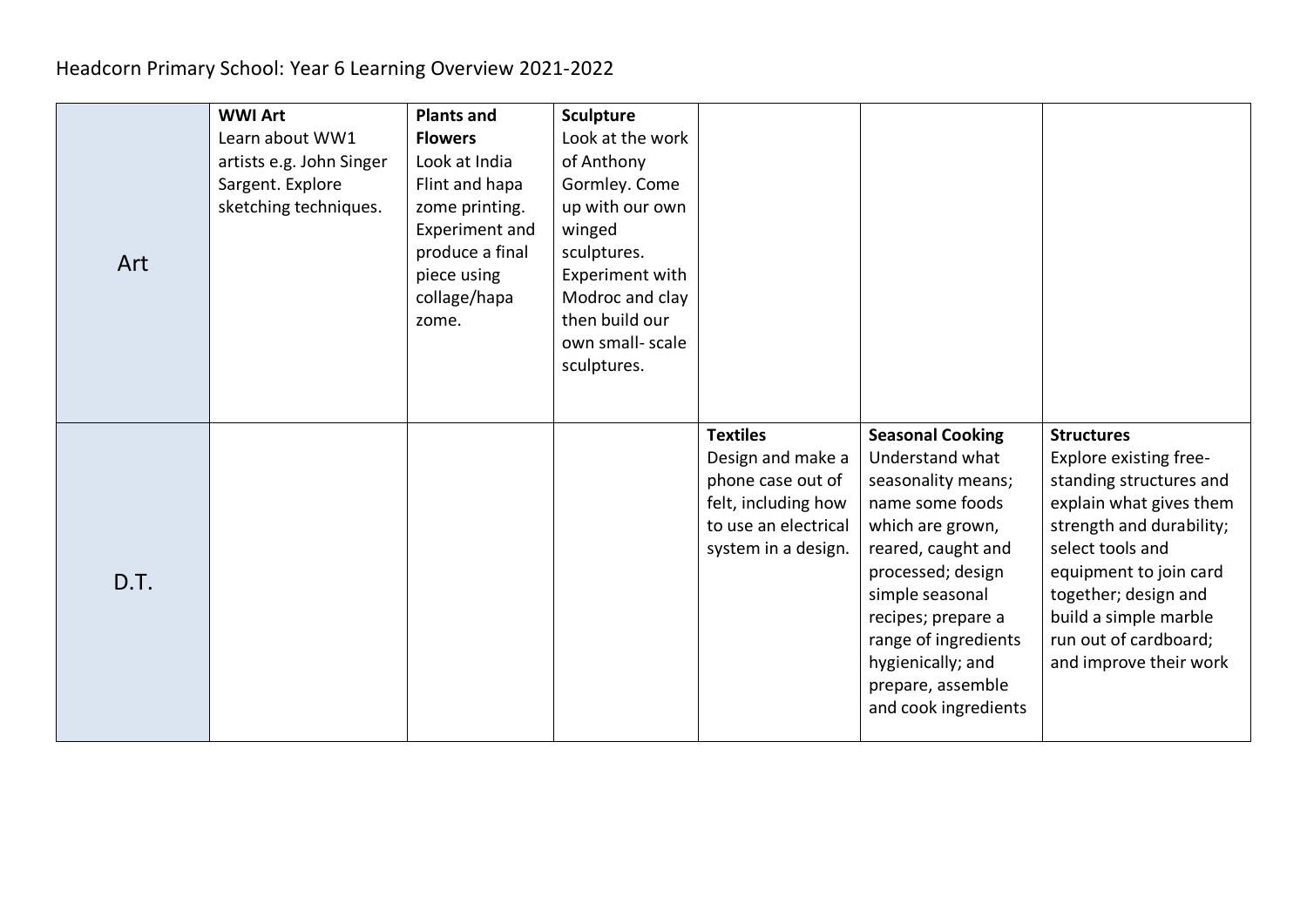|      | <b>WWI Art</b>           | <b>Plants and</b>     | <b>Sculpture</b> |                      |                         |                          |
|------|--------------------------|-----------------------|------------------|----------------------|-------------------------|--------------------------|
|      | Learn about WW1          | <b>Flowers</b>        | Look at the work |                      |                         |                          |
|      | artists e.g. John Singer | Look at India         | of Anthony       |                      |                         |                          |
|      | Sargent. Explore         | Flint and hapa        | Gormley. Come    |                      |                         |                          |
|      | sketching techniques.    | zome printing.        | up with our own  |                      |                         |                          |
|      |                          | <b>Experiment and</b> | winged           |                      |                         |                          |
|      |                          | produce a final       | sculptures.      |                      |                         |                          |
| Art  |                          | piece using           | Experiment with  |                      |                         |                          |
|      |                          | collage/hapa          | Modroc and clay  |                      |                         |                          |
|      |                          | zome.                 | then build our   |                      |                         |                          |
|      |                          |                       | own small-scale  |                      |                         |                          |
|      |                          |                       | sculptures.      |                      |                         |                          |
|      |                          |                       |                  |                      |                         |                          |
|      |                          |                       |                  |                      |                         |                          |
|      |                          |                       |                  | <b>Textiles</b>      | <b>Seasonal Cooking</b> | <b>Structures</b>        |
|      |                          |                       |                  | Design and make a    | Understand what         | Explore existing free-   |
|      |                          |                       |                  | phone case out of    | seasonality means;      | standing structures and  |
|      |                          |                       |                  | felt, including how  | name some foods         | explain what gives them  |
|      |                          |                       |                  | to use an electrical | which are grown,        | strength and durability; |
|      |                          |                       |                  | system in a design.  | reared, caught and      | select tools and         |
| D.T. |                          |                       |                  |                      | processed; design       | equipment to join card   |
|      |                          |                       |                  |                      | simple seasonal         | together; design and     |
|      |                          |                       |                  |                      | recipes; prepare a      | build a simple marble    |
|      |                          |                       |                  |                      | range of ingredients    | run out of cardboard;    |
|      |                          |                       |                  |                      | hygienically; and       | and improve their work   |
|      |                          |                       |                  |                      |                         |                          |
|      |                          |                       |                  |                      | prepare, assemble       |                          |
|      |                          |                       |                  |                      | and cook ingredients    |                          |